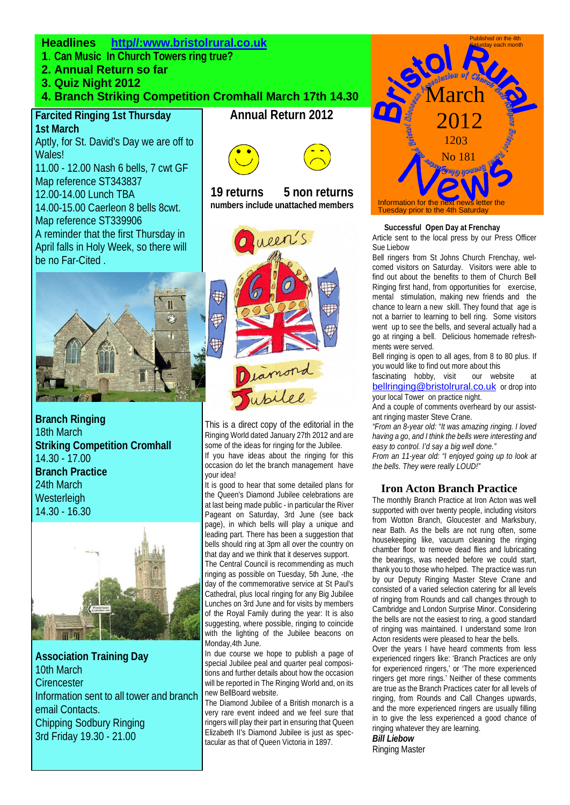## **Headlines http//:www.bristolrural.co.uk**

- **1**. **Can Music In Church Towers ring true?**
- **2. Annual Return so far**
- **3. Quiz Night 2012**

## **4. Branch Striking Competition Cromhall March 17th 14.30**

### **Farcited Ringing 1st Thursday 1st March**

Aptly, for St. David's Day we are off to Wales!

11.00 - 12.00 Nash 6 bells, 7 cwt GF Map reference ST343837

12.00-14.00 Lunch TBA 14.00-15.00 Caerleon 8 bells 8cwt. Map reference ST339906 A reminder that the first Thursday in April falls in Holy Week, so there will be no Far-Cited .



**Branch Ringing** 18th March **Striking Competition Cromhall** 14.30 - 17.00 **Branch Practice** 24th March **Westerleigh** 14.30 - 16.30



**Association Training Day** 10th March **Cirencester** Information sent to all tower and branch email Contacts. Chipping Sodbury Ringing 3rd Friday 19.30 - 21.00

# **Annual Return 2012**



 **19 returns 5 non returns numbers include unattached members** 



This is a direct copy of the editorial in the Ringing World dated January 27th 2012 and are some of the ideas for ringing for the Jubilee. If you have ideas about the ringing for this occasion do let the branch management have your idea!

It is good to hear that some detailed plans for the Queen's Diamond Jubilee celebrations are at last being made public - in particular the River Pageant on Saturday, 3rd June (see back page), in which bells will play a unique and leading part. There has been a suggestion that bells should ring at 3pm all over the country on that day and we think that it deserves support.

The Central Council is recommending as much ringing as possible on Tuesday, 5th June, -the day of the commemorative service at St Paul's Cathedral, plus Iocal ringing for any Big Jubilee Lunches on 3rd June and for visits by members of the Royal Family during the year: It is also suggesting, where possible, ringing to coincide with the lighting of the Jubilee beacons on Monday,4th June.

In due course we hope to publish a page of special Jubilee peal and quarter peal compositions and further details about how the occasion will be reported in The Ringing World and, on its new BellBoard website.

The Diamond Jubilee of a British monarch is a very rare event indeed and we feel sure that ringers will play their part in ensuring that Queen Elizabeth II's Diamond Jubilee is just as spectacular as that of Queen Victoria in 1897.



#### **Successful Open Day at Frenchay**

Article sent to the local press by our Press Officer Sue Liebow

Bell ringers from St Johns Church Frenchay, welcomed visitors on Saturday. Visitors were able to find out about the benefits to them of Church Bell Ringing first hand, from opportunities for exercise, mental stimulation, making new friends and the chance to learn a new skill. They found that age is not a barrier to learning to bell ring. Some visitors went up to see the bells, and several actually had a go at ringing a bell. Delicious homemade refreshments were served.

Bell ringing is open to all ages, from 8 to 80 plus. If you would like to find out more about this<br>fascinating hobby, visit our website

 $f$ ascinating hobby, visit bellringing@bristolrural.co.uk or drop into your local Tower on practice night.

And a couple of comments overheard by our assistant ringing master Steve Crane.

*"From an 8-year old: "It was amazing ringing. I loved having a go, and I think the bells were interesting and easy to control. I'd say a big well done."* 

*From an 11-year old: "I enjoyed going up to look at the bells. They were really LOUD!"* 

### **Iron Acton Branch Practice**

The monthly Branch Practice at Iron Acton was well supported with over twenty people, including visitors from Wotton Branch, Gloucester and Marksbury, near Bath. As the bells are not rung often, some housekeeping like, vacuum cleaning the ringing chamber floor to remove dead flies and lubricating the bearings, was needed before we could start, thank you to those who helped. The practice was run by our Deputy Ringing Master Steve Crane and consisted of a varied selection catering for all levels of ringing from Rounds and call changes through to Cambridge and London Surprise Minor. Considering the bells are not the easiest to ring, a good standard of ringing was maintained. I understand some Iron Acton residents were pleased to hear the bells.

Over the years I have heard comments from less experienced ringers like: 'Branch Practices are only for experienced ringers,' or 'The more experienced ringers get more rings.' Neither of these comments are true as the Branch Practices cater for all levels of ringing, from Rounds and Call Changes upwards, and the more experienced ringers are usually filling in to give the less experienced a good chance of ringing whatever they are learning.

## *Bill Liebow*

Ringing Master